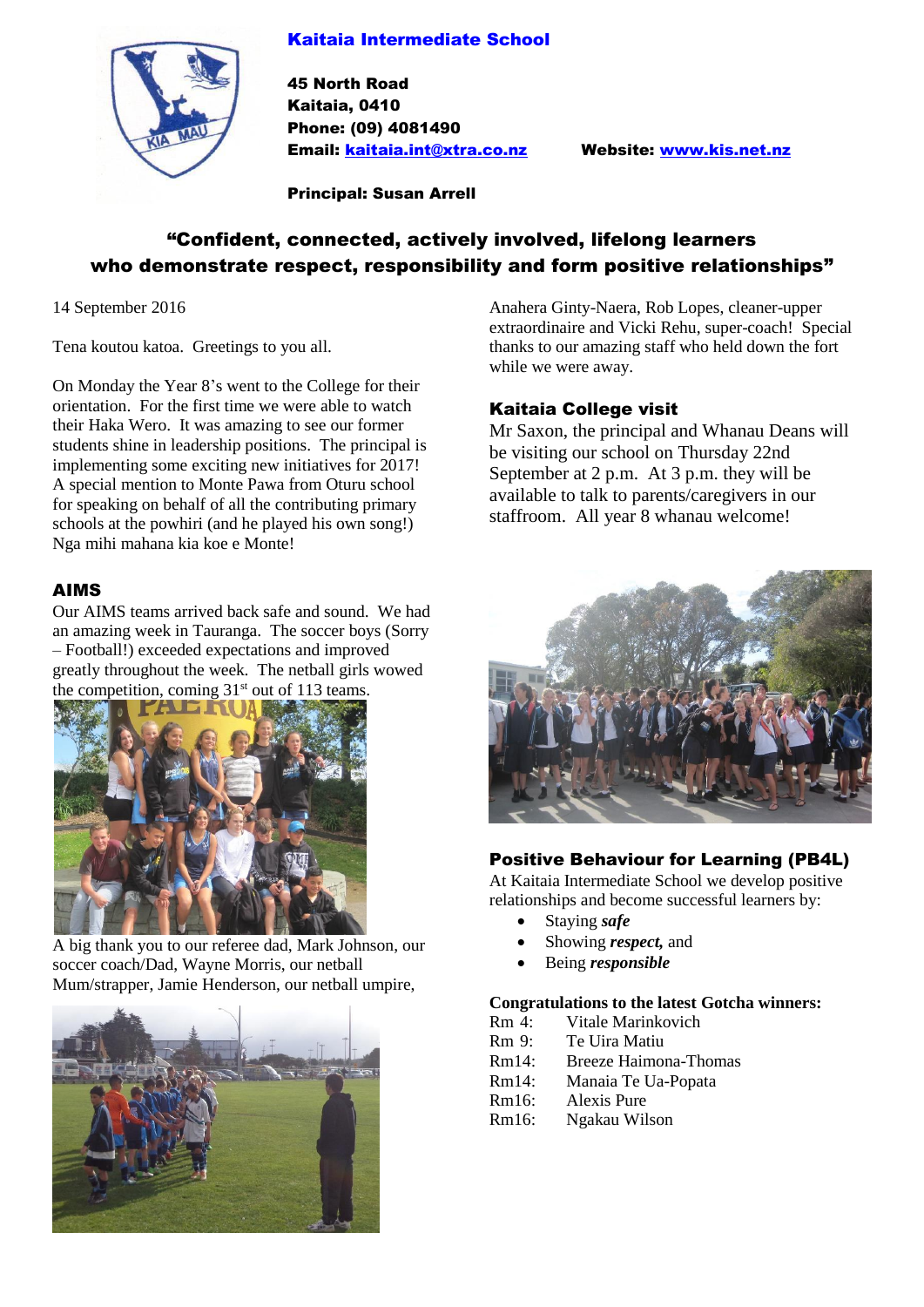## Kaitaia Intermediate School



45 North Road Kaitaia, 0410 Phone: (09) 4081490 Email: [kaitaia.int@xtra.co.nz](mailto:kaitaia.int@xtra.co.nz) Website: [www.kis.net.nz](http://www.kis.net.nz/)

Principal: Susan Arrell

# "Confident, connected, actively involved, lifelong learners who demonstrate respect, responsibility and form positive relationships"

14 September 2016

Tena koutou katoa. Greetings to you all.

On Monday the Year 8's went to the College for their orientation. For the first time we were able to watch their Haka Wero. It was amazing to see our former students shine in leadership positions. The principal is implementing some exciting new initiatives for 2017! A special mention to Monte Pawa from Oturu school for speaking on behalf of all the contributing primary schools at the powhiri (and he played his own song!) Nga mihi mahana kia koe e Monte!

#### AIMS

Our AIMS teams arrived back safe and sound. We had an amazing week in Tauranga. The soccer boys (Sorry – Football!) exceeded expectations and improved greatly throughout the week. The netball girls wowed the competition, coming  $31<sup>st</sup>$  out of 113 teams.



A big thank you to our referee dad, Mark Johnson, our soccer coach/Dad, Wayne Morris, our netball Mum/strapper, Jamie Henderson, our netball umpire,



Anahera Ginty-Naera, Rob Lopes, cleaner-upper extraordinaire and Vicki Rehu, super-coach! Special thanks to our amazing staff who held down the fort while we were away.

## Kaitaia College visit

Mr Saxon, the principal and Whanau Deans will be visiting our school on Thursday 22nd September at 2 p.m. At 3 p.m. they will be available to talk to parents/caregivers in our staffroom. All year 8 whanau welcome!



## Positive Behaviour for Learning (PB4L)

At Kaitaia Intermediate School we develop positive relationships and become successful learners by:

- Staying *safe*
- Showing *respect,* and
- Being *responsible*

#### **Congratulations to the latest Gotcha winners:**

- Rm 4: Vitale Marinkovich
- Rm 9: Te Uira Matiu
- Rm14: Breeze Haimona-Thomas
- Rm14: Manaia Te Ua-Popata
- Rm16: Alexis Pure
- Rm16: Ngakau Wilson